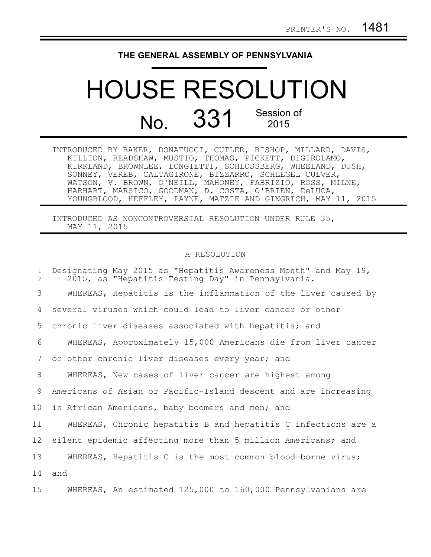## **THE GENERAL ASSEMBLY OF PENNSYLVANIA**

## HOUSE RESOLUTION No. 331 Session of 2015

| INTRODUCED BY BAKER, DONATUCCI, CUTLER, BISHOP, MILLARD, DAVIS, |
|-----------------------------------------------------------------|
| KILLION, READSHAW, MUSTIO, THOMAS, PICKETT, DIGIROLAMO,         |
| KIRKLAND, BROWNLEE, LONGIETTI, SCHLOSSBERG, WHEELAND, DUSH,     |
| SONNEY, VEREB, CALTAGIRONE, BIZZARRO, SCHLEGEL CULVER,          |
| WATSON, V. BROWN, O'NEILL, MAHONEY, FABRIZIO, ROSS, MILNE,      |
| HARHART, MARSICO, GOODMAN, D. COSTA, O'BRIEN, DeLUCA,           |
| YOUNGBLOOD, HEFFLEY, PAYNE, MATZIE AND GINGRICH, MAY 11, 2015   |

INTRODUCED AS NONCONTROVERSIAL RESOLUTION UNDER RULE 35, MAY 11, 2015

## A RESOLUTION

| $\mathbf{1}$<br>$\overline{2}$ | Designating May 2015 as "Hepatitis Awareness Month" and May 19,<br>2015, as "Hepatitis Testing Day" in Pennsylvania. |
|--------------------------------|----------------------------------------------------------------------------------------------------------------------|
| 3                              | WHEREAS, Hepatitis is the inflammation of the liver caused by                                                        |
| 4                              | several viruses which could lead to liver cancer or other                                                            |
| 5                              | chronic liver diseases associated with hepatitis; and                                                                |
| 6                              | WHEREAS, Approximately 15,000 Americans die from liver cancer                                                        |
| 7                              | or other chronic liver diseases every year; and                                                                      |
| 8                              | WHEREAS, New cases of liver cancer are highest among                                                                 |
| 9                              | Americans of Asian or Pacific-Island descent and are increasing                                                      |
| 10                             | in African Americans, baby boomers and men; and                                                                      |
| 11                             | WHEREAS, Chronic hepatitis B and hepatitis C infections are a                                                        |
| 12                             | silent epidemic affecting more than 5 million Americans; and                                                         |
| 13                             | WHEREAS, Hepatitis C is the most common blood-borne virus;                                                           |
| 14                             | and                                                                                                                  |
| 15 <sub>1</sub>                | WHEREAS, An estimated 125,000 to 160,000 Pennsylvanians are                                                          |